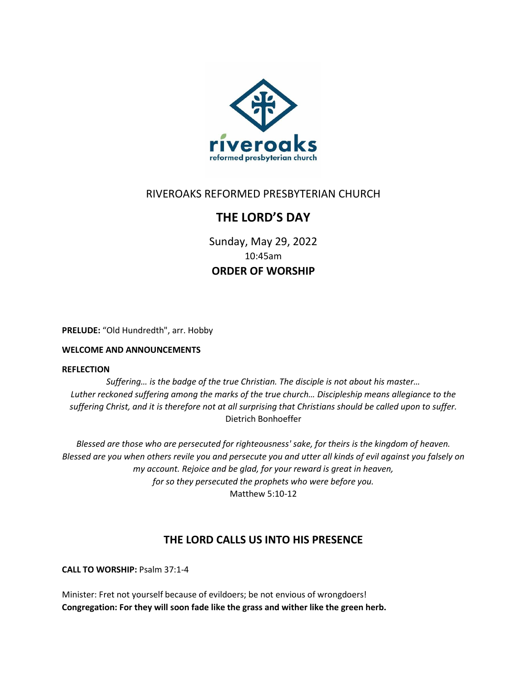

# RIVEROAKS REFORMED PRESBYTERIAN CHURCH

# **THE LORD'S DAY**

Sunday, May 29, 2022 10:45am **ORDER OF WORSHIP**

**PRELUDE:** "Old Hundredth", arr. Hobby

# **WELCOME AND ANNOUNCEMENTS**

# **REFLECTION**

*Suffering… is the badge of the true Christian. The disciple is not about his master… Luther reckoned suffering among the marks of the true church… Discipleship means allegiance to the suffering Christ, and it is therefore not at all surprising that Christians should be called upon to suffer.* Dietrich Bonhoeffer

*Blessed are those who are persecuted for righteousness' sake, for theirs is the kingdom of heaven. Blessed are you when others revile you and persecute you and utter all kinds of evil against you falsely on my account. Rejoice and be glad, for your reward is great in heaven, for so they persecuted the prophets who were before you.* Matthew 5:10-12

# **THE LORD CALLS US INTO HIS PRESENCE**

**CALL TO WORSHIP:** Psalm 37:1-4

Minister: Fret not yourself because of evildoers; be not envious of wrongdoers! **Congregation: For they will soon fade like the grass and wither like the green herb.**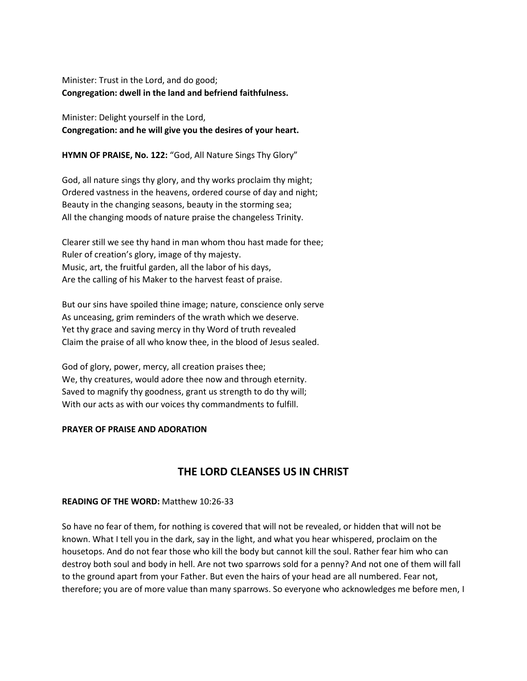Minister: Trust in the Lord, and do good; **Congregation: dwell in the land and befriend faithfulness.**

Minister: Delight yourself in the Lord, **Congregation: and he will give you the desires of your heart.**

**HYMN OF PRAISE, No. 122:** "God, All Nature Sings Thy Glory"

God, all nature sings thy glory, and thy works proclaim thy might; Ordered vastness in the heavens, ordered course of day and night; Beauty in the changing seasons, beauty in the storming sea; All the changing moods of nature praise the changeless Trinity.

Clearer still we see thy hand in man whom thou hast made for thee; Ruler of creation's glory, image of thy majesty. Music, art, the fruitful garden, all the labor of his days, Are the calling of his Maker to the harvest feast of praise.

But our sins have spoiled thine image; nature, conscience only serve As unceasing, grim reminders of the wrath which we deserve. Yet thy grace and saving mercy in thy Word of truth revealed Claim the praise of all who know thee, in the blood of Jesus sealed.

God of glory, power, mercy, all creation praises thee; We, thy creatures, would adore thee now and through eternity. Saved to magnify thy goodness, grant us strength to do thy will; With our acts as with our voices thy commandments to fulfill.

# **PRAYER OF PRAISE AND ADORATION**

# **THE LORD CLEANSES US IN CHRIST**

# **READING OF THE WORD:** Matthew 10:26-33

So have no fear of them, for nothing is covered that will not be revealed, or hidden that will not be known. What I tell you in the dark, say in the light, and what you hear whispered, proclaim on the housetops. And do not fear those who kill the body but cannot kill the soul. Rather fear him who can destroy both soul and body in hell. Are not two sparrows sold for a penny? And not one of them will fall to the ground apart from your Father. But even the hairs of your head are all numbered. Fear not, therefore; you are of more value than many sparrows. So everyone who acknowledges me before men, I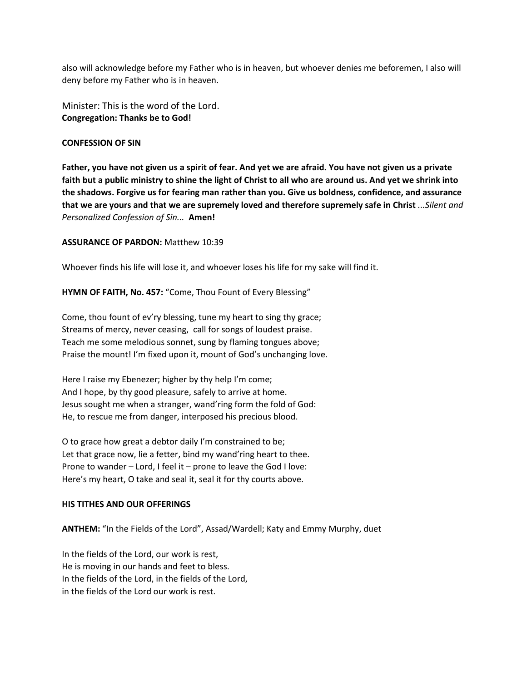also will acknowledge before my Father who is in heaven, but whoever denies me beforemen, I also will deny before my Father who is in heaven.

Minister: This is the word of the Lord. **Congregation: Thanks be to God!**

#### **CONFESSION OF SIN**

**Father, you have not given us a spirit of fear. And yet we are afraid. You have not given us a private faith but a public ministry to shine the light of Christ to all who are around us. And yet we shrink into the shadows. Forgive us for fearing man rather than you. Give us boldness, confidence, and assurance that we are yours and that we are supremely loved and therefore supremely safe in Christ** *...Silent and Personalized Confession of Sin...* **Amen!**

#### **ASSURANCE OF PARDON:** Matthew 10:39

Whoever finds his life will lose it, and whoever loses his life for my sake will find it.

**HYMN OF FAITH, No. 457:** "Come, Thou Fount of Every Blessing"

Come, thou fount of ev'ry blessing, tune my heart to sing thy grace; Streams of mercy, never ceasing, call for songs of loudest praise. Teach me some melodious sonnet, sung by flaming tongues above; Praise the mount! I'm fixed upon it, mount of God's unchanging love.

Here I raise my Ebenezer; higher by thy help I'm come; And I hope, by thy good pleasure, safely to arrive at home. Jesus sought me when a stranger, wand'ring form the fold of God: He, to rescue me from danger, interposed his precious blood.

O to grace how great a debtor daily I'm constrained to be; Let that grace now, lie a fetter, bind my wand'ring heart to thee. Prone to wander – Lord, I feel it – prone to leave the God I love: Here's my heart, O take and seal it, seal it for thy courts above.

#### **HIS TITHES AND OUR OFFERINGS**

**ANTHEM:** "In the Fields of the Lord", Assad/Wardell; Katy and Emmy Murphy, duet

In the fields of the Lord, our work is rest, He is moving in our hands and feet to bless. In the fields of the Lord, in the fields of the Lord, in the fields of the Lord our work is rest.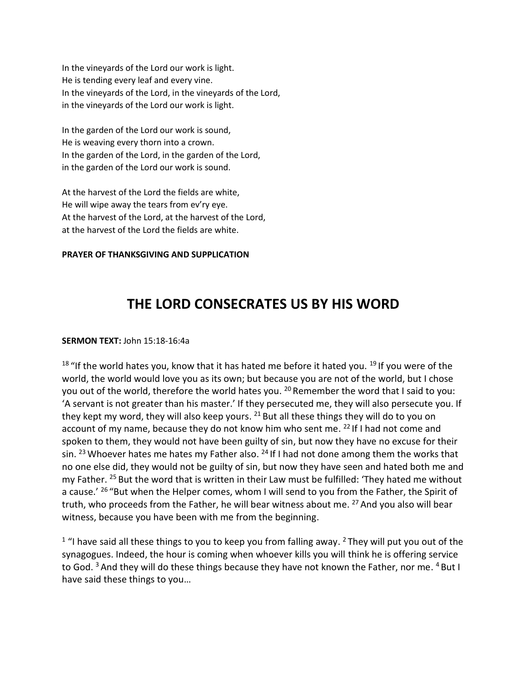In the vineyards of the Lord our work is light. He is tending every leaf and every vine. In the vineyards of the Lord, in the vineyards of the Lord, in the vineyards of the Lord our work is light.

In the garden of the Lord our work is sound, He is weaving every thorn into a crown. In the garden of the Lord, in the garden of the Lord, in the garden of the Lord our work is sound.

At the harvest of the Lord the fields are white, He will wipe away the tears from ev'ry eye. At the harvest of the Lord, at the harvest of the Lord, at the harvest of the Lord the fields are white.

# **PRAYER OF THANKSGIVING AND SUPPLICATION**

# **THE LORD CONSECRATES US BY HIS WORD**

# **SERMON TEXT:** John 15:18-16:4a

 $18$  "If the world hates you, know that it has hated me before it hated you.  $19$  If you were of the world, the world would love you as its own; but because you are not of the world, but I chose you out of the world, therefore the world hates you. <sup>20</sup> Remember the word that I said to you: 'A servant is not greater than his master.' If they persecuted me, they will also persecute you. If they kept my word, they will also keep yours. <sup>21</sup> But all these things they will do to you on account of my name, because they do not know him who sent me. <sup>22</sup> If I had not come and spoken to them, they would not have been guilty of sin, but now they have no excuse for their sin. <sup>23</sup> Whoever hates me hates my Father also. <sup>24</sup> If I had not done among them the works that no one else did, they would not be guilty of sin, but now they have seen and hated both me and my Father. <sup>25</sup> But the word that is written in their Law must be fulfilled: 'They hated me without a cause.' <sup>26</sup> "But when the Helper comes, whom I will send to you from the Father, the Spirit of truth, who proceeds from the Father, he will bear witness about me. <sup>27</sup> And you also will bear witness, because you have been with me from the beginning.

<sup>1</sup> "I have said all these things to you to keep you from falling away. <sup>2</sup> They will put you out of the synagogues. Indeed, the hour is coming when whoever kills you will think he is offering service to God. <sup>3</sup> And they will do these things because they have not known the Father, nor me. <sup>4</sup> But I have said these things to you…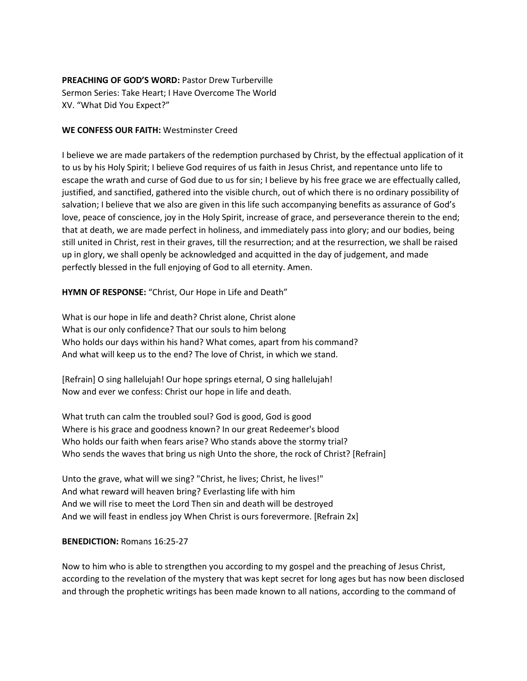**PREACHING OF GOD'S WORD:** Pastor Drew Turberville Sermon Series: Take Heart; I Have Overcome The World XV. "What Did You Expect?"

# **WE CONFESS OUR FAITH:** Westminster Creed

I believe we are made partakers of the redemption purchased by Christ, by the effectual application of it to us by his Holy Spirit; I believe God requires of us faith in Jesus Christ, and repentance unto life to escape the wrath and curse of God due to us for sin; I believe by his free grace we are effectually called, justified, and sanctified, gathered into the visible church, out of which there is no ordinary possibility of salvation; I believe that we also are given in this life such accompanying benefits as assurance of God's love, peace of conscience, joy in the Holy Spirit, increase of grace, and perseverance therein to the end; that at death, we are made perfect in holiness, and immediately pass into glory; and our bodies, being still united in Christ, rest in their graves, till the resurrection; and at the resurrection, we shall be raised up in glory, we shall openly be acknowledged and acquitted in the day of judgement, and made perfectly blessed in the full enjoying of God to all eternity. Amen.

**HYMN OF RESPONSE:** "Christ, Our Hope in Life and Death"

What is our hope in life and death? Christ alone, Christ alone What is our only confidence? That our souls to him belong Who holds our days within his hand? What comes, apart from his command? And what will keep us to the end? The love of Christ, in which we stand.

[Refrain] O sing hallelujah! Our hope springs eternal, O sing hallelujah! Now and ever we confess: Christ our hope in life and death.

What truth can calm the troubled soul? God is good, God is good Where is his grace and goodness known? In our great Redeemer's blood Who holds our faith when fears arise? Who stands above the stormy trial? Who sends the waves that bring us nigh Unto the shore, the rock of Christ? [Refrain]

Unto the grave, what will we sing? "Christ, he lives; Christ, he lives!" And what reward will heaven bring? Everlasting life with him And we will rise to meet the Lord Then sin and death will be destroyed And we will feast in endless joy When Christ is ours forevermore. [Refrain 2x]

# **BENEDICTION:** Romans 16:25-27

Now to him who is able to strengthen you according to my gospel and the preaching of Jesus Christ, according to the revelation of the mystery that was kept secret for long ages but has now been disclosed and through the prophetic writings has been made known to all nations, according to the command of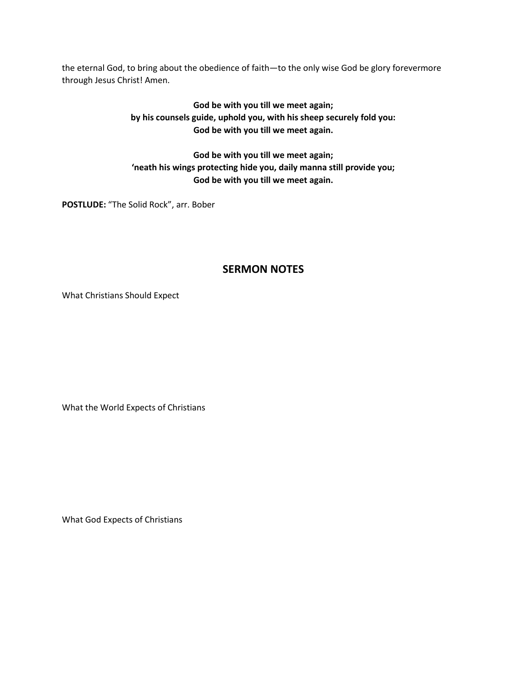the eternal God, to bring about the obedience of faith—to the only wise God be glory forevermore through Jesus Christ! Amen.

> **God be with you till we meet again; by his counsels guide, uphold you, with his sheep securely fold you: God be with you till we meet again.**

> **God be with you till we meet again; 'neath his wings protecting hide you, daily manna still provide you; God be with you till we meet again.**

**POSTLUDE:** "The Solid Rock", arr. Bober

# **SERMON NOTES**

What Christians Should Expect

What the World Expects of Christians

What God Expects of Christians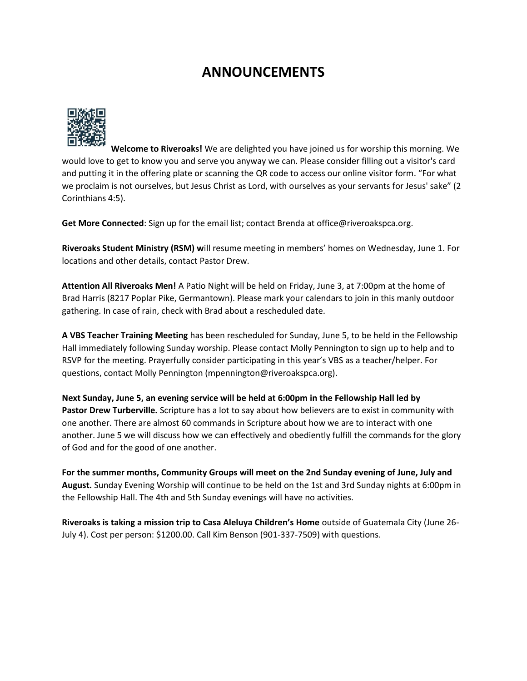# **ANNOUNCEMENTS**



**Welcome to Riveroaks!** We are delighted you have joined us for worship this morning. We would love to get to know you and serve you anyway we can. Please consider filling out a visitor's card and putting it in the offering plate or scanning the QR code to access our online visitor form. "For what we proclaim is not ourselves, but Jesus Christ as Lord, with ourselves as your servants for Jesus' sake" (2 Corinthians 4:5).

**Get More Connected**: Sign up for the email list; contact Brenda at office@riveroakspca.org.

**Riveroaks Student Ministry (RSM) w**ill resume meeting in members' homes on Wednesday, June 1. For locations and other details, contact Pastor Drew.

**Attention All Riveroaks Men!** A Patio Night will be held on Friday, June 3, at 7:00pm at the home of Brad Harris (8217 Poplar Pike, Germantown). Please mark your calendars to join in this manly outdoor gathering. In case of rain, check with Brad about a rescheduled date.

**A VBS Teacher Training Meeting** has been rescheduled for Sunday, June 5, to be held in the Fellowship Hall immediately following Sunday worship. Please contact Molly Pennington to sign up to help and to RSVP for the meeting. Prayerfully consider participating in this year's VBS as a teacher/helper. For questions, contact Molly Pennington (mpennington@riveroakspca.org).

**Next Sunday, June 5, an evening service will be held at 6:00pm in the Fellowship Hall led by Pastor Drew Turberville.** Scripture has a lot to say about how believers are to exist in community with one another. There are almost 60 commands in Scripture about how we are to interact with one another. June 5 we will discuss how we can effectively and obediently fulfill the commands for the glory of God and for the good of one another.

**For the summer months, Community Groups will meet on the 2nd Sunday evening of June, July and August.** Sunday Evening Worship will continue to be held on the 1st and 3rd Sunday nights at 6:00pm in the Fellowship Hall. The 4th and 5th Sunday evenings will have no activities.

**Riveroaks is taking a mission trip to Casa Aleluya Children's Home** outside of Guatemala City (June 26- July 4). Cost per person: \$1200.00. Call Kim Benson (901-337-7509) with questions.